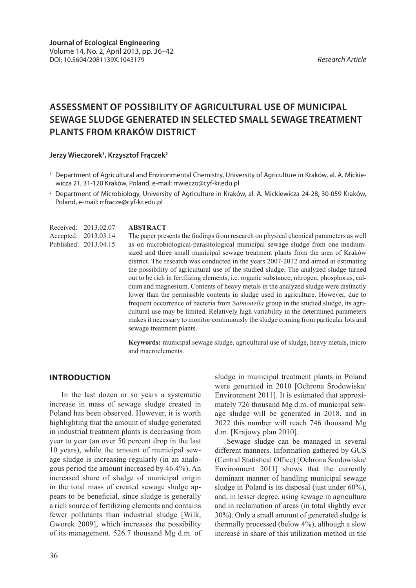# **Assessment of possibility of agricultural use of municipal sewage sludge generated in selected small sewage treatment plants from Kraków district**

#### **Jerzy Wieczorek1 , Krzysztof Frączek<sup>2</sup>**

- <sup>1</sup> Department of Agricultural and Environmental Chemistry, University of Agriculture in Kraków, al. A. Mickiewicza 21, 31-120 Kraków, Poland, e-mail: rrwieczo@cyf-kr.edu.pl
- <sup>2</sup> Department of Microbiology, University of Agriculture in Kraków, al. A. Mickiewicza 24-28, 30-059 Kraków, Poland, e-mail: rrfracze@cyf-kr.edu.pl

**ABSTRACT** The paper presents the findings from research on physical chemical parameters as well as on microbiological-parasitological municipal sewage sludge from one mediumsized and three small municipal sewage treatment plants from the area of Kraków district. The research was conducted in the years 2007-2012 and aimed at estimating the possibility of agricultural use of the studied sludge. The analyzed sludge turned out to be rich in fertilizing elements, i.e. organic substance, nitrogen, phosphorus, calcium and magnesium. Contents of heavy metals in the analyzed sludge were distinctly lower than the permissible contents in sludge used in agriculture. However, due to frequent occurrence of bacteria from *Salmonella* group in the studied sludge, its agricultural use may be limited. Relatively high variability in the determined parameters makes it necessary to monitor continuously the sludge coming from particular lots and sewage treatment plants. Received: 2013.02.07 Accepted: 2013.03.14 Published: 2013.04.15

> **Keywords:** municipal sewage sludge, agricultural use of sludge, heavy metals, micro and macroelements.

#### **Introduction**

In the last dozen or so years a systematic increase in mass of sewage sludge created in Poland has been observed. However, it is worth highlighting that the amount of sludge generated in industrial treatment plants is decreasing from year to year (an over 50 percent drop in the last 10 years), while the amount of municipal sewage sludge is increasing regularly (in an analogous period the amount increased by 46.4%). An increased share of sludge of municipal origin in the total mass of created sewage sludge appears to be beneficial, since sludge is generally a rich source of fertilizing elements and contains fewer pollutants than industrial sludge [Wilk, Gworek 2009], which increases the possibility of its management. 526.7 thousand Mg d.m. of sludge in municipal treatment plants in Poland were generated in 2010 [Ochrona Środowiska/ Environment 2011]. It is estimated that approximately 726 thousand Mg d.m. of municipal sewage sludge will be generated in 2018, and in 2022 this number will reach 746 thousand Mg d.m. [Krajowy plan 2010].

Sewage sludge can be managed in several different manners. Information gathered by GUS (Central Statistical Office) [Ochrona Środowiska/ Environment 2011] shows that the currently dominant manner of handling municipal sewage sludge in Poland is its disposal (just under 60%), and, in lesser degree, using sewage in agriculture and in reclamation of areas (in total slightly over 30%). Only a small amount of generated sludge is thermally processed (below 4%), although a slow increase in share of this utilization method in the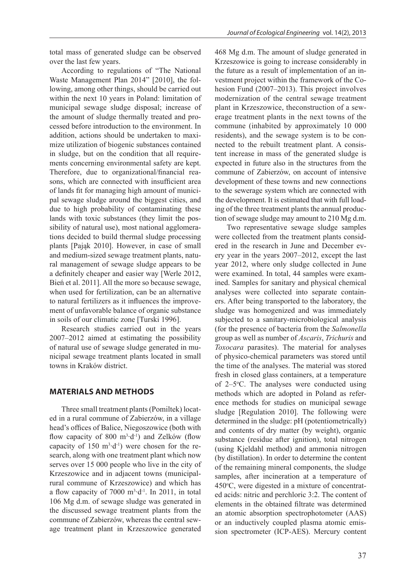total mass of generated sludge can be observed over the last few years.

According to regulations of "The National Waste Management Plan 2014" [2010], the following, among other things, should be carried out within the next 10 years in Poland: limitation of municipal sewage sludge disposal; increase of the amount of sludge thermally treated and processed before introduction to the environment. In addition, actions should be undertaken to maximize utilization of biogenic substances contained in sludge, but on the condition that all requirements concerning environmental safety are kept. Therefore, due to organizational/financial reasons, which are connected with insufficient area of lands fit for managing high amount of municipal sewage sludge around the biggest cities, and due to high probability of contaminating these lands with toxic substances (they limit the possibility of natural use), most national agglomerations decided to build thermal sludge processing plants [Pająk 2010]. However, in case of small and medium-sized sewage treatment plants, natural management of sewage sludge appears to be a definitely cheaper and easier way [Werle 2012, Bień et al. 2011]. All the more so because sewage, when used for fertilization, can be an alternative to natural fertilizers as it influences the improvement of unfavorable balance of organic substance in soils of our climatic zone [Turski 1996].

Research studies carried out in the years 2007–2012 aimed at estimating the possibility of natural use of sewage sludge generated in municipal sewage treatment plants located in small towns in Kraków district.

### **Materials and methods**

Three small treatment plants (Pomiltek) located in a rural commune of Zabierzów, in a village head's offices of Balice, Niegoszowice (both with flow capacity of 800 m<sup>3</sup> $\cdot$ d<sup>-1</sup>) and Zelków (flow capacity of 150  $m^3 \cdot d^{-1}$ ) were chosen for the research, along with one treatment plant which now serves over 15 000 people who live in the city of Krzeszowice and in adjacent towns (municipalrural commune of Krzeszowice) and which has a flow capacity of  $7000 \text{ m}^3 \cdot d^{-1}$ . In 2011, in total 106 Mg d.m. of sewage sludge was generated in the discussed sewage treatment plants from the commune of Zabierzów, whereas the central sewage treatment plant in Krzeszowice generated

468 Mg d.m. The amount of sludge generated in Krzeszowice is going to increase considerably in the future as a result of implementation of an investment project within the framework of the Cohesion Fund (2007–2013). This project involves modernization of the central sewage treatment plant in Krzeszowice, theconstruction of a sewerage treatment plants in the next towns of the commune (inhabited by approximately 10 000 residents), and the sewage system is to be connected to the rebuilt treatment plant. A consistent increase in mass of the generated sludge is expected in future also in the structures from the commune of Zabierzów, on account of intensive development of these towns and new connections to the sewerage system which are connected with the development. It is estimated that with full loading of the three treatment plants the annual production of sewage sludge may amount to 210 Mg d.m.

Two representative sewage sludge samples were collected from the treatment plants considered in the research in June and December every year in the years 2007–2012, except the last year 2012, where only sludge collected in June were examined. In total, 44 samples were examined. Samples for sanitary and physical chemical analyses were collected into separate containers. After being transported to the laboratory, the sludge was homogenized and was immediately subjected to a sanitary-microbiological analysis (for the presence of bacteria from the *Salmonella*  group as well as number of *Ascaris*, *Trichuris* and *Toxocara* parasites). The material for analyses of physico-chemical parameters was stored until the time of the analyses. The material was stored fresh in closed glass containers, at a temperature of 2–5°C. The analyses were conducted using methods which are adopted in Poland as reference methods for studies on municipal sewage sludge [Regulation 2010]. The following were determined in the sludge: pH (potentiometrically) and contents of dry matter (by weight), organic substance (residue after ignition), total nitrogen (using Kjeldahl method) and ammonia nitrogen (by distillation). In order to determine the content of the remaining mineral components, the sludge samples, after incineration at a temperature of 450°C, were digested in a mixture of concentrated acids: nitric and perchloric 3:2. The content of elements in the obtained filtrate was determined an atomic absorption spectrophotometer (AAS) or an inductively coupled plasma atomic emission spectrometer (ICP-AES). Mercury content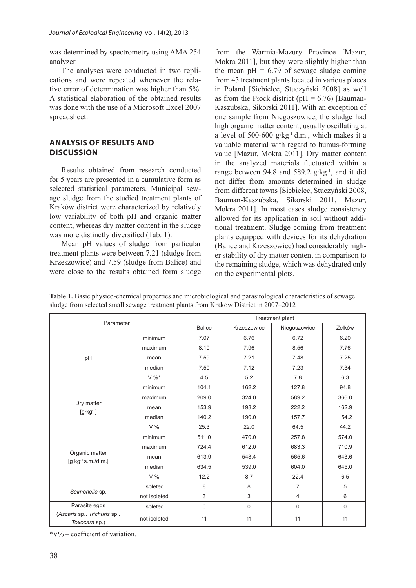was determined by spectrometry using AMA 254 analyzer.

The analyses were conducted in two replications and were repeated whenever the relative error of determination was higher than 5%. A statistical elaboration of the obtained results was done with the use of a Microsoft Excel 2007 spreadsheet.

#### **Analysis of results and DISCUSSION discussion**

Results obtained from research conducted for 5 years are presented in a cumulative form as selected statistical parameters. Municipal sewage sludge from the studied treatment plants of Kraków district were characterized by relatively low variability of both pH and organic matter content, whereas dry matter content in the sludge was more distinctly diversified (Tab. 1).

Mean pH values of sludge from particular treatment plants were between 7.21 (sludge from Krzeszowice) and 7.59 (sludge from Balice) and were close to the results obtained form sludge

from the Warmia-Mazury Province [Mazur, Mokra 2011], but they were slightly higher than the mean  $pH = 6.79$  of sewage sludge coming from 43 treatment plants located in various places in Poland [Siebielec, Stuczyński 2008] as well as from the Płock district ( $pH = 6.76$ ) [Bauman-Kaszubska, Sikorski 2011]. With an exception of one sample from Niegoszowice, the sludge had high organic matter content, usually oscillating at a level of 500-600 g∙kg-1 d.m., which makes it a valuable material with regard to humus-forming value [Mazur, Mokra 2011]. Dry matter content in the analyzed materials fluctuated within a range between 94.8 and 589.2 g∙kg-1, and it did not differ from amounts determined in sludge from different towns [Siebielec, Stuczyński 2008, Bauman-Kaszubska, Sikorski 2011, Mazur, Mokra 2011]. In most cases sludge consistency allowed for its application in soil without additional treatment. Sludge coming from treatment plants equipped with devices for its dehydration (Balice and Krzeszowice) had considerably higher stability of dry matter content in comparison to the remaining sludge, which was dehydrated only on the experimental plots.

|                                                                                      | Table 1. Basic physico-chemical properties and microbiological and parasitological characteristics of sewage |
|--------------------------------------------------------------------------------------|--------------------------------------------------------------------------------------------------------------|
| sludge from selected small sewage treatment plants from Krakow District in 2007–2012 |                                                                                                              |

| Parameter                                       |              | Treatment plant |             |                |             |  |
|-------------------------------------------------|--------------|-----------------|-------------|----------------|-------------|--|
|                                                 |              | <b>Balice</b>   | Krzeszowice | Niegoszowice   | Zelków      |  |
|                                                 | minimum      | 7.07            | 6.76        | 6.72           | 6.20        |  |
|                                                 | maximum      | 8.10            | 7.96        | 8.56           | 7.76        |  |
| pH                                              | mean         | 7.59            | 7.21        | 7.48           | 7.25        |  |
|                                                 | median       | 7.50            | 7.12        | 7.23           | 7.34        |  |
|                                                 | $V \%^*$     | 4.5             | 5.2         | 7.8            | 6.3         |  |
| Dry matter<br>$[g \cdot kg^{-1}]$               | minimum      | 104.1           | 162.2       | 127.8          | 94.8        |  |
|                                                 | maximum      | 209.0           | 324.0       | 589.2          | 366.0       |  |
|                                                 | mean         | 153.9           | 198.2       | 222.2          | 162.9       |  |
|                                                 | median       | 140.2           | 190.0       | 157.7          | 154.2       |  |
|                                                 | V%           | 25.3            | 22.0        | 64.5           | 44.2        |  |
| Organic matter<br>$[g \cdot kg^{-1} s.m./d.m.]$ | minimum      | 511.0           | 470.0       | 257.8          | 574.0       |  |
|                                                 | maximum      | 724.4           | 612.0       | 683.3          | 710.9       |  |
|                                                 | mean         | 613.9           | 543.4       | 565.6          | 643.6       |  |
|                                                 | median       | 634.5           | 539.0       | 604.0          | 645.0       |  |
|                                                 | V%           | 12.2            | 8.7         | 22.4           | 6.5         |  |
| Salmonella sp.                                  | isoleted     | 8               | 8           | $\overline{7}$ | 5           |  |
|                                                 | not isoleted | 3               | 3           | 4              | 6           |  |
| Parasite eggs                                   | isoleted     | $\mathbf 0$     | $\mathbf 0$ | $\mathbf 0$    | $\mathbf 0$ |  |
| (Ascaris sp Trichuris sp<br>Toxocara sp.)       | not isoleted | 11              | 11          | 11             | 11          |  |

 $*V\%$  – coefficient of variation.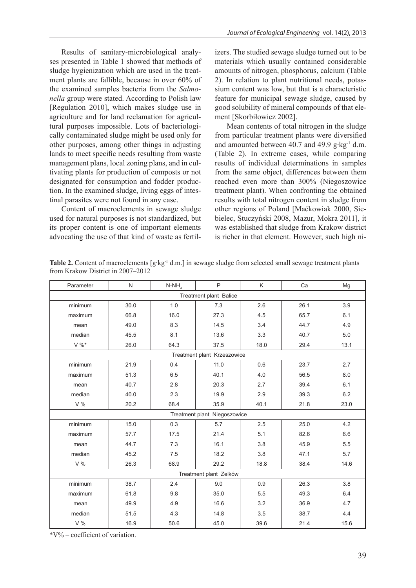Results of sanitary-microbiological analyses presented in Table 1 showed that methods of sludge hygienization which are used in the treatment plants are fallible, because in over 60% of the examined samples bacteria from the *Salmonella* group were stated. According to Polish law [Regulation 2010], which makes sludge use in agriculture and for land reclamation for agricultural purposes impossible. Lots of bacteriologically contaminated sludge might be used only for other purposes, among other things in adjusting lands to meet specific needs resulting from waste management plans, local zoning plans, and in cultivating plants for production of composts or not designated for consumption and fodder production. In the examined sludge, living eggs of intestinal parasites were not found in any case.

Content of macroelements in sewage sludge used for natural purposes is not standardized, but its proper content is one of important elements advocating the use of that kind of waste as fertilizers. The studied sewage sludge turned out to be materials which usually contained considerable amounts of nitrogen, phosphorus, calcium (Table 2). In relation to plant nutritional needs, potassium content was low, but that is a characteristic feature for municipal sewage sludge, caused by good solubility of mineral compounds of that element [Skorbiłowicz 2002].

Mean contents of total nitrogen in the sludge from particular treatment plants were diversified and amounted between 40.7 and 49.9 g∙kg-1 d.m. (Table 2). In extreme cases, while comparing results of individual determinations in samples from the same object, differences between them reached even more than 300% (Niegoszowice treatment plant). When confronting the obtained results with total nitrogen content in sludge from other regions of Poland [Maćkowiak 2000, Siebielec, Stuczyński 2008, Mazur, Mokra 2011], it was established that sludge from Krakow district is richer in that element. However, such high ni-

| Parameter                    | N                           | $N-NH$ | P    | K    | Ca   | Mq   |  |  |
|------------------------------|-----------------------------|--------|------|------|------|------|--|--|
| Treatment plant Balice       |                             |        |      |      |      |      |  |  |
| minimum                      | 30.0                        | 1.0    | 7.3  | 2.6  | 26.1 | 3.9  |  |  |
| maximum                      | 66.8                        | 16.0   | 27.3 | 4.5  | 65.7 | 6.1  |  |  |
| mean                         | 49.0                        | 8.3    | 14.5 | 3.4  | 44.7 | 4.9  |  |  |
| median                       | 45.5                        | 8.1    | 13.6 | 3.3  | 40.7 | 5.0  |  |  |
| $V \%^*$                     | 26.0                        | 64.3   | 37.5 | 18.0 | 29.4 | 13.1 |  |  |
|                              | Treatment plant Krzeszowice |        |      |      |      |      |  |  |
| minimum                      | 21.9                        | 0.4    | 11.0 | 0.6  | 23.7 | 2.7  |  |  |
| maximum                      | 51.3                        | 6.5    | 40.1 | 4.0  | 56.5 | 8.0  |  |  |
| mean                         | 40.7                        | 2.8    | 20.3 | 2.7  | 39.4 | 6.1  |  |  |
| median                       | 40.0                        | 2.3    | 19.9 | 2.9  | 39.3 | 6.2  |  |  |
| V%                           | 20.2                        | 68.4   | 35.9 | 40.1 | 21.8 | 23.0 |  |  |
| Treatment plant Niegoszowice |                             |        |      |      |      |      |  |  |
| minimum                      | 15.0                        | 0.3    | 5.7  | 2.5  | 25.0 | 4.2  |  |  |
| maximum                      | 57.7                        | 17.5   | 21.4 | 5.1  | 82.6 | 6.6  |  |  |
| mean                         | 44.7                        | 7.3    | 16.1 | 3.8  | 45.9 | 5.5  |  |  |
| median                       | 45.2                        | 7.5    | 18.2 | 3.8  | 47.1 | 5.7  |  |  |
| V%                           | 26.3                        | 68.9   | 29.2 | 18.8 | 38.4 | 14.6 |  |  |
| Treatment plant Zelków       |                             |        |      |      |      |      |  |  |
| minimum                      | 38.7                        | 2.4    | 9.0  | 0.9  | 26.3 | 3.8  |  |  |
| maximum                      | 61.8                        | 9.8    | 35.0 | 5.5  | 49.3 | 6.4  |  |  |
| mean                         | 49.9                        | 4.9    | 16.6 | 3.2  | 36.9 | 4.7  |  |  |
| median                       | 51.5                        | 4.3    | 14.8 | 3.5  | 38.7 | 4.4  |  |  |
| V%                           | 16.9                        | 50.6   | 45.0 | 39.6 | 21.4 | 15.6 |  |  |

**Table 2.** Content of macroelements [g∙kg-1 d.m.] in sewage sludge from selected small sewage treatment plants from Krakow District in 2007–2012

\*V% – coefficient of variation.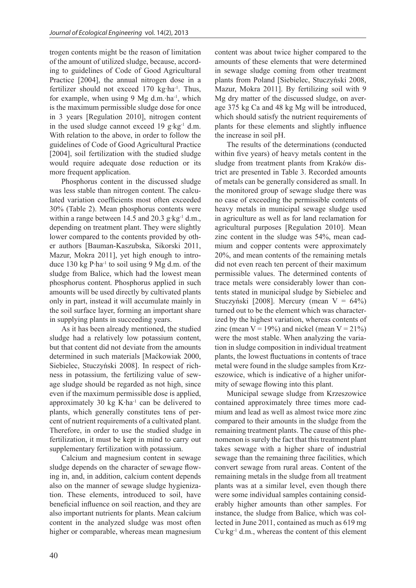trogen contents might be the reason of limitation of the amount of utilized sludge, because, according to guidelines of Code of Good Agricultural Practice [2004], the annual nitrogen dose in a fertilizer should not exceed 170 kg∙ha-1. Thus, for example, when using 9 Mg d.m.∙ha-1, which is the maximum permissible sludge dose for once in 3 years [Regulation 2010], nitrogen content in the used sludge cannot exceed 19 g∙kg-1 d.m. With relation to the above, in order to follow the guidelines of Code of Good Agricultural Practice [2004], soil fertilization with the studied sludge would require adequate dose reduction or its more frequent application.

Phosphorus content in the discussed sludge was less stable than nitrogen content. The calculated variation coefficients most often exceeded 30% (Table 2). Mean phosphorus contents were within a range between 14.5 and 20.3 g⋅kg<sup>-1</sup> d.m., depending on treatment plant. They were slightly lower compared to the contents provided by other authors [Bauman-Kaszubska, Sikorski 2011, Mazur, Mokra 2011], yet high enough to introduce 130 kg P∙ha-1 to soil using 9 Mg d.m. of the sludge from Balice, which had the lowest mean phosphorus content. Phosphorus applied in such amounts will be used directly by cultivated plants only in part, instead it will accumulate mainly in the soil surface layer, forming an important share in supplying plants in succeeding years.

As it has been already mentioned, the studied sludge had a relatively low potassium content, but that content did not deviate from the amounts determined in such materials [Maćkowiak 2000, Siebielec, Stuczyński 2008]. In respect of richness in potassium, the fertilizing value of sewage sludge should be regarded as not high, since even if the maximum permissible dose is applied, approximately 30 kg K∙ha-1 can be delivered to plants, which generally constitutes tens of percent of nutrient requirements of a cultivated plant. Therefore, in order to use the studied sludge in fertilization, it must be kept in mind to carry out supplementary fertilization with potassium.

Calcium and magnesium content in sewage sludge depends on the character of sewage flowing in, and, in addition, calcium content depends also on the manner of sewage sludge hygienization. These elements, introduced to soil, have beneficial influence on soil reaction, and they are also important nutrients for plants. Mean calcium content in the analyzed sludge was most often higher or comparable, whereas mean magnesium

content was about twice higher compared to the amounts of these elements that were determined in sewage sludge coming from other treatment plants from Poland [Siebielec, Stuczyński 2008, Mazur, Mokra 2011]. By fertilizing soil with 9 Mg dry matter of the discussed sludge, on average 375 kg Ca and 48 kg Mg will be introduced, which should satisfy the nutrient requirements of plants for these elements and slightly influence the increase in soil pH.

The results of the determinations (conducted within five years) of heavy metals content in the sludge from treatment plants from Kraków district are presented in Table 3. Recorded amounts of metals can be generally considered as small. In the monitored group of sewage sludge there was no case of exceeding the permissible contents of heavy metals in municipal sewage sludge used in agriculture as well as for land reclamation for agricultural purposes [Regulation 2010]. Mean zinc content in the sludge was 54%, mean cadmium and copper contents were approximately 20%, and mean contents of the remaining metals did not even reach ten percent of their maximum permissible values. The determined contents of trace metals were considerably lower than contents stated in municipal sludge by Siebielec and Stuczyński [2008]. Mercury (mean  $V = 64\%$ ) turned out to be the element which was characterized by the highest variation, whereas contents of zinc (mean  $V = 19\%$ ) and nickel (mean  $V = 21\%$ ) were the most stable. When analyzing the variation in sludge composition in individual treatment plants, the lowest fluctuations in contents of trace metal were found in the sludge samples from Krzeszowice, which is indicative of a higher uniformity of sewage flowing into this plant.

Municipal sewage sludge from Krzeszowice contained approximately three times more cadmium and lead as well as almost twice more zinc compared to their amounts in the sludge from the remaining treatment plants. The cause of this phenomenon is surely the fact that this treatment plant takes sewage with a higher share of industrial sewage than the remaining three facilities, which convert sewage from rural areas. Content of the remaining metals in the sludge from all treatment plants was at a similar level, even though there were some individual samples containing considerably higher amounts than other samples. For instance, the sludge from Balice, which was collected in June 2011, contained as much as 619 mg Cu∙kg-1 d.m., whereas the content of this element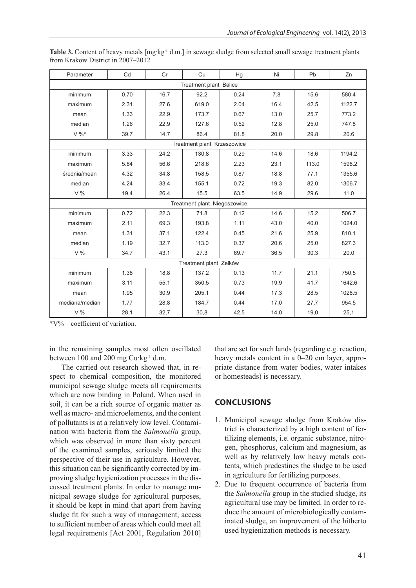| Parameter              | Cd                           | Cr   | Cu                          | Hg   | Ni   | Pb    | Zn     |  |  |
|------------------------|------------------------------|------|-----------------------------|------|------|-------|--------|--|--|
| Treatment plant Balice |                              |      |                             |      |      |       |        |  |  |
| minimum                | 0.70                         | 16.7 | 92.2                        | 0.24 | 7.8  | 15.6  | 580.4  |  |  |
| maximum                | 2.31                         | 27.6 | 619.0                       | 2.04 | 16.4 | 42.5  | 1122.7 |  |  |
| mean                   | 1.33                         | 22.9 | 173.7                       | 0.67 | 13.0 | 25.7  | 773.2  |  |  |
| median                 | 1.26                         | 22.9 | 127.6                       | 0.52 | 12.8 | 25.0  | 747.8  |  |  |
| $V \%^*$               | 39.7                         | 14.7 | 86.4                        | 81.8 | 20.0 | 29.8  | 20.6   |  |  |
|                        |                              |      | Treatment plant Krzeszowice |      |      |       |        |  |  |
| minimum                | 3.33                         | 24.2 | 130.8                       | 0.29 | 14.6 | 18.6  | 1194.2 |  |  |
| maximum                | 5.84                         | 56.6 | 218.6                       | 2.23 | 23.1 | 113.0 | 1598.2 |  |  |
| średnia/mean           | 4.32                         | 34.8 | 158.5                       | 0.87 | 18.8 | 77.1  | 1355.6 |  |  |
| median                 | 4.24                         | 33.4 | 155.1                       | 0.72 | 19.3 | 82.0  | 1306.7 |  |  |
| V%                     | 19.4                         | 26.4 | 15.5                        | 63.5 | 14.9 | 29.6  | 11.0   |  |  |
|                        | Treatment plant Niegoszowice |      |                             |      |      |       |        |  |  |
| minimum                | 0.72                         | 22.3 | 71.8                        | 0.12 | 14.6 | 15.2  | 506.7  |  |  |
| maximum                | 2.11                         | 69.3 | 193.8                       | 1.11 | 43.0 | 40.0  | 1024.0 |  |  |
| mean                   | 1.31                         | 37.1 | 122.4                       | 0.45 | 21.6 | 25.9  | 810.1  |  |  |
| median                 | 1.19                         | 32.7 | 113.0                       | 0.37 | 20.6 | 25.0  | 827.3  |  |  |
| V%                     | 34.7                         | 43.1 | 27.3                        | 69.7 | 36.5 | 30.3  | 20.0   |  |  |
| Treatment plant Zelków |                              |      |                             |      |      |       |        |  |  |
| minimum                | 1.38                         | 18.8 | 137.2                       | 0.13 | 11.7 | 21.1  | 750.5  |  |  |
| maximum                | 3.11                         | 55.1 | 350.5                       | 0.73 | 19.9 | 41.7  | 1642.6 |  |  |
| mean                   | 1.95                         | 30.9 | 205.1                       | 0.44 | 17.3 | 28.5  | 1028.5 |  |  |
| mediana/median         | 1,77                         | 28,8 | 184,7                       | 0,44 | 17,0 | 27,7  | 954,5  |  |  |
| V %                    | 28,1                         | 32,7 | 30,8                        | 42,5 | 14,0 | 19,0  | 25,1   |  |  |

Table 3. Content of heavy metals [mg⋅kg<sup>-1</sup> d.m.] in sewage sludge from selected small sewage treatment plants from Krakow District in 2007–2012

\*V% – coefficient of variation.

in the remaining samples most often oscillated between 100 and 200 mg Cu∙kg-1 d.m.

The carried out research showed that, in respect to chemical composition, the monitored municipal sewage sludge meets all requirements which are now binding in Poland. When used in soil, it can be a rich source of organic matter as well as macro- and microelements, and the content of pollutants is at a relatively low level. Contamination with bacteria from the *Salmonella* group, which was observed in more than sixty percent of the examined samples, seriously limited the perspective of their use in agriculture. However, this situation can be significantly corrected by improving sludge hygienization processes in the discussed treatment plants. In order to manage municipal sewage sludge for agricultural purposes, it should be kept in mind that apart from having sludge fit for such a way of management, access to sufficient number of areas which could meet all legal requirements [Act 2001, Regulation 2010]

that are set for such lands (regarding e.g. reaction, heavy metals content in a 0–20 cm layer, appropriate distance from water bodies, water intakes or homesteads) is necessary.

## **Conclusions**

- 1. Municipal sewage sludge from Kraków district is characterized by a high content of fertilizing elements, i.e. organic substance, nitrogen, phosphorus, calcium and magnesium, as well as by relatively low heavy metals contents, which predestines the sludge to be used in agriculture for fertilizing purposes.
- 2. Due to frequent occurrence of bacteria from the *Salmonella* group in the studied sludge, its agricultural use may be limited. In order to reduce the amount of microbiologically contaminated sludge, an improvement of the hitherto used hygienization methods is necessary.